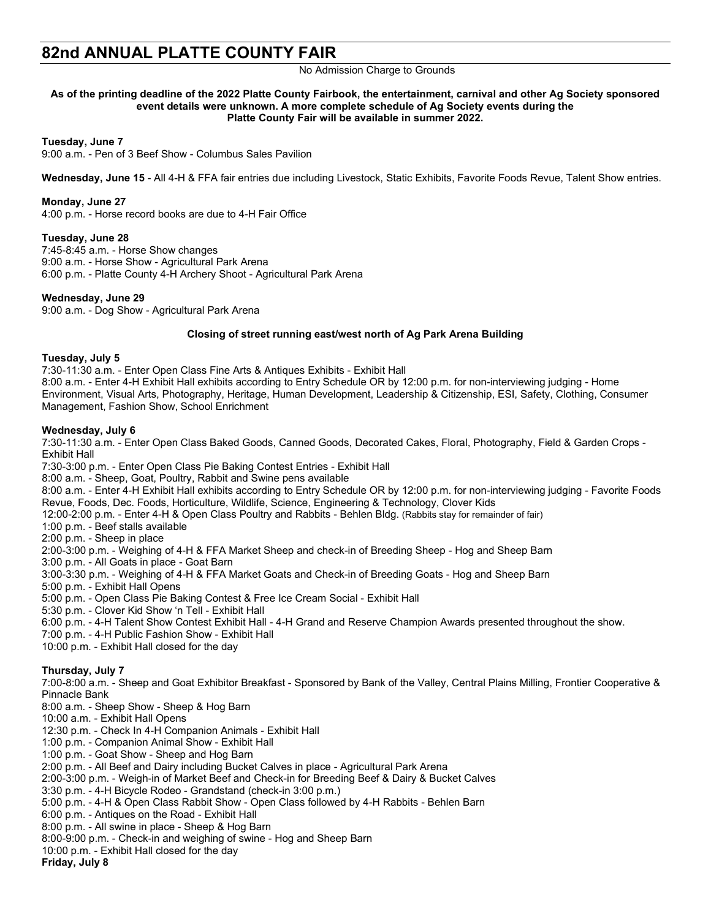# **82nd ANNUAL PLATTE COUNTY FAIR**

# No Admission Charge to Grounds

#### **As of the printing deadline of the 2022 Platte County Fairbook, the entertainment, carnival and other Ag Society sponsored event details were unknown. A more complete schedule of Ag Society events during the Platte County Fair will be available in summer 2022.**

**Tuesday, June 7**

9:00 a.m. - Pen of 3 Beef Show - Columbus Sales Pavilion

**Wednesday, June 15** - All 4-H & FFA fair entries due including Livestock, Static Exhibits, Favorite Foods Revue, Talent Show entries.

#### **Monday, June 27**

4:00 p.m. - Horse record books are due to 4-H Fair Office

## **Tuesday, June 28**

7:45-8:45 a.m. - Horse Show changes 9:00 a.m. - Horse Show - Agricultural Park Arena 6:00 p.m. - Platte County 4-H Archery Shoot - Agricultural Park Arena

## **Wednesday, June 29**

9:00 a.m. - Dog Show - Agricultural Park Arena

#### **Closing of street running east/west north of Ag Park Arena Building**

#### **Tuesday, July 5**

7:30-11:30 a.m. - Enter Open Class Fine Arts & Antiques Exhibits - Exhibit Hall 8:00 a.m. - Enter 4-H Exhibit Hall exhibits according to Entry Schedule OR by 12:00 p.m. for non-interviewing judging - Home Environment, Visual Arts, Photography, Heritage, Human Development, Leadership & Citizenship, ESI, Safety, Clothing, Consumer Management, Fashion Show, School Enrichment

## **Wednesday, July 6**

7:30-11:30 a.m. - Enter Open Class Baked Goods, Canned Goods, Decorated Cakes, Floral, Photography, Field & Garden Crops - Exhibit Hall

7:30-3:00 p.m. - Enter Open Class Pie Baking Contest Entries - Exhibit Hall

8:00 a.m. - Sheep, Goat, Poultry, Rabbit and Swine pens available

8:00 a.m. - Enter 4-H Exhibit Hall exhibits according to Entry Schedule OR by 12:00 p.m. for non-interviewing judging - Favorite Foods Revue, Foods, Dec. Foods, Horticulture, Wildlife, Science, Engineering & Technology, Clover Kids

- 12:00-2:00 p.m. Enter 4-H & Open Class Poultry and Rabbits Behlen Bldg. (Rabbits stay for remainder of fair)
- 1:00 p.m. Beef stalls available
- 2:00 p.m. Sheep in place

2:00-3:00 p.m. - Weighing of 4-H & FFA Market Sheep and check-in of Breeding Sheep - Hog and Sheep Barn

3:00 p.m. - All Goats in place - Goat Barn

3:00-3:30 p.m. - Weighing of 4-H & FFA Market Goats and Check-in of Breeding Goats - Hog and Sheep Barn

5:00 p.m. - Exhibit Hall Opens

- 5:00 p.m. Open Class Pie Baking Contest & Free Ice Cream Social Exhibit Hall
- 5:30 p.m. Clover Kid Show 'n Tell Exhibit Hall
- 6:00 p.m. 4-H Talent Show Contest Exhibit Hall 4-H Grand and Reserve Champion Awards presented throughout the show.
- 7:00 p.m. 4-H Public Fashion Show Exhibit Hall
- 10:00 p.m. Exhibit Hall closed for the day

## **Thursday, July 7**

7:00-8:00 a.m. - Sheep and Goat Exhibitor Breakfast - Sponsored by Bank of the Valley, Central Plains Milling, Frontier Cooperative & Pinnacle Bank

- 8:00 a.m. Sheep Show Sheep & Hog Barn
- 10:00 a.m. Exhibit Hall Opens
- 12:30 p.m. Check In 4-H Companion Animals Exhibit Hall
- 1:00 p.m. Companion Animal Show Exhibit Hall
- 1:00 p.m. Goat Show Sheep and Hog Barn
- 2:00 p.m. All Beef and Dairy including Bucket Calves in place Agricultural Park Arena
- 2:00-3:00 p.m. Weigh-in of Market Beef and Check-in for Breeding Beef & Dairy & Bucket Calves
- 3:30 p.m. 4-H Bicycle Rodeo Grandstand (check-in 3:00 p.m.)
- 5:00 p.m. 4-H & Open Class Rabbit Show Open Class followed by 4-H Rabbits Behlen Barn
- 6:00 p.m. Antiques on the Road Exhibit Hall
- 8:00 p.m. All swine in place Sheep & Hog Barn
- 8:00-9:00 p.m. Check-in and weighing of swine Hog and Sheep Barn
- 10:00 p.m. Exhibit Hall closed for the day